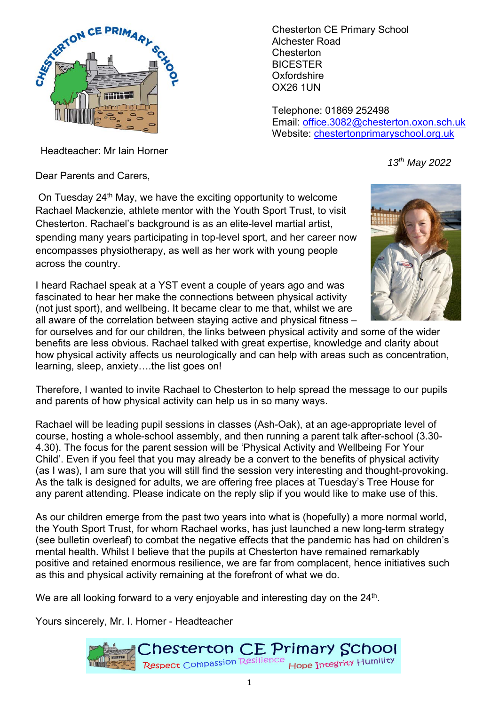

Chesterton CE Primary School Alchester Road **Chesterton BICESTER Oxfordshire** OX26 1UN

Telephone: 01869 252498 Email: office.3082@chesterton.oxon.sch.uk Website: chestertonprimaryschool.org.uk

*13th May 2022* 

Headteacher: Mr Iain Horner

Dear Parents and Carers,

On Tuesday 24<sup>th</sup> May, we have the exciting opportunity to welcome Rachael Mackenzie, athlete mentor with the Youth Sport Trust, to visit Chesterton. Rachael's background is as an elite-level martial artist, spending many years participating in top-level sport, and her career now encompasses physiotherapy, as well as her work with young people across the country.

I heard Rachael speak at a YST event a couple of years ago and was fascinated to hear her make the connections between physical activity (not just sport), and wellbeing. It became clear to me that, whilst we are all aware of the correlation between staying active and physical fitness –



for ourselves and for our children, the links between physical activity and some of the wider benefits are less obvious. Rachael talked with great expertise, knowledge and clarity about how physical activity affects us neurologically and can help with areas such as concentration, learning, sleep, anxiety….the list goes on!

Therefore, I wanted to invite Rachael to Chesterton to help spread the message to our pupils and parents of how physical activity can help us in so many ways.

Rachael will be leading pupil sessions in classes (Ash-Oak), at an age-appropriate level of course, hosting a whole-school assembly, and then running a parent talk after-school (3.30- 4.30). The focus for the parent session will be 'Physical Activity and Wellbeing For Your Child'. Even if you feel that you may already be a convert to the benefits of physical activity (as I was), I am sure that you will still find the session very interesting and thought-provoking. As the talk is designed for adults, we are offering free places at Tuesday's Tree House for any parent attending. Please indicate on the reply slip if you would like to make use of this.

As our children emerge from the past two years into what is (hopefully) a more normal world, the Youth Sport Trust, for whom Rachael works, has just launched a new long-term strategy (see bulletin overleaf) to combat the negative effects that the pandemic has had on children's mental health. Whilst I believe that the pupils at Chesterton have remained remarkably positive and retained enormous resilience, we are far from complacent, hence initiatives such as this and physical activity remaining at the forefront of what we do.

We are all looking forward to a very enjoyable and interesting day on the 24<sup>th</sup>.

Yours sincerely, Mr. I. Horner - Headteacher

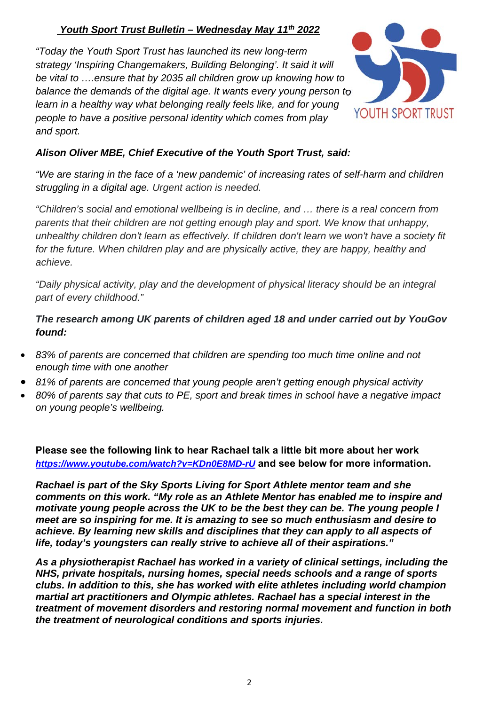## *Youth Sport Trust Bulletin – Wednesday May 11th 2022*

*"Today the Youth Sport Trust has launched its new long-term strategy 'Inspiring Changemakers, Building Belonging'. It said it will be vital to ….ensure that by 2035 all children grow up knowing how to balance the demands of the digital age. It wants every young person to*  learn in a healthy way what belonging really feels like, and for young *people to have a positive personal identity which comes from play and sport.*



## *Alison Oliver MBE, Chief Executive of the Youth Sport Trust, said:*

*"We are staring in the face of a 'new pandemic' of increasing rates of self-harm and children struggling in a digital age. Urgent action is needed.* 

*"Children's social and emotional wellbeing is in decline, and … there is a real concern from parents that their children are not getting enough play and sport. We know that unhappy, unhealthy children don't learn as effectively. If children don't learn we won't have a society fit for the future. When children play and are physically active, they are happy, healthy and achieve.* 

*"Daily physical activity, play and the development of physical literacy should be an integral part of every childhood."* 

*The research among UK parents of children aged 18 and under carried out by YouGov found:* 

- *83% of parents are concerned that children are spending too much time online and not enough time with one another*
- *81% of parents are concerned that young people aren't getting enough physical activity*
- *80% of parents say that cuts to PE, sport and break times in school have a negative impact on young people's wellbeing.*

**Please see the following link to hear Rachael talk a little bit more about her work**  *https://www.youtube.com/watch?v=KDn0E8MD-rU* **and see below for more information.** 

*Rachael is part of the Sky Sports Living for Sport Athlete mentor team and she comments on this work. "My role as an Athlete Mentor has enabled me to inspire and motivate young people across the UK to be the best they can be. The young people I meet are so inspiring for me. It is amazing to see so much enthusiasm and desire to achieve. By learning new skills and disciplines that they can apply to all aspects of life, today's youngsters can really strive to achieve all of their aspirations."* 

*As a physiotherapist Rachael has worked in a variety of clinical settings, including the NHS, private hospitals, nursing homes, special needs schools and a range of sports clubs. In addition to this, she has worked with elite athletes including world champion martial art practitioners and Olympic athletes. Rachael has a special interest in the treatment of movement disorders and restoring normal movement and function in both the treatment of neurological conditions and sports injuries.*